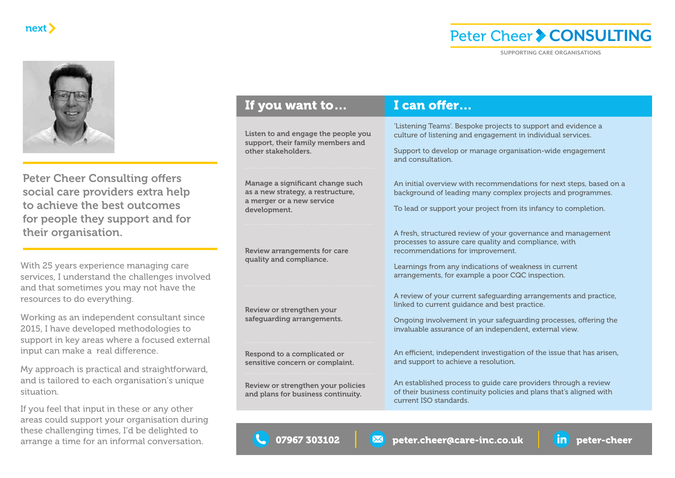### **Peter Cheer > CONSULTING**



If you feel that input in these or any other areas could support your organisation during these challenging times, I'd be delighted to arrange a time for an informal conversation.

| next                                                                                                                                                                                       |                                                                                                                    | Peter Cheer > CONSULTING                                                                                                                                                                                       |  |
|--------------------------------------------------------------------------------------------------------------------------------------------------------------------------------------------|--------------------------------------------------------------------------------------------------------------------|----------------------------------------------------------------------------------------------------------------------------------------------------------------------------------------------------------------|--|
|                                                                                                                                                                                            |                                                                                                                    | <b>SUPPORTING CARE ORGANISATIONS</b>                                                                                                                                                                           |  |
|                                                                                                                                                                                            | If you want to                                                                                                     | I can offer                                                                                                                                                                                                    |  |
|                                                                                                                                                                                            | Listen to and engage the people you<br>support, their family members and<br>other stakeholders.                    | 'Listening Teams'. Bespoke projects to support and evidence a<br>culture of listening and engagement in individual services.<br>Support to develop or manage organisation-wide engagement<br>and consultation. |  |
| <b>Peter Cheer Consulting offers</b><br>social care providers extra help<br>to achieve the best outcomes<br>for people they support and for                                                | Manage a significant change such<br>as a new strategy, a restructure,<br>a merger or a new service<br>development. | An initial overview with recommendations for next steps, based on a<br>background of leading many complex projects and programmes.<br>To lead or support your project from its infancy to completion.          |  |
| their organisation.                                                                                                                                                                        |                                                                                                                    | A fresh, structured review of your governance and management<br>processes to assure care quality and compliance, with                                                                                          |  |
| With 25 years experience managing care<br>ervices, I understand the challenges involved                                                                                                    | <b>Review arrangements for care</b><br>quality and compliance.                                                     | recommendations for improvement.<br>Learnings from any indications of weakness in current<br>arrangements, for example a poor CQC inspection.                                                                  |  |
| and that sometimes you may not have the<br>esources to do everything.                                                                                                                      |                                                                                                                    | A review of your current safeguarding arrangements and practice,<br>linked to current guidance and best practice.                                                                                              |  |
| Norking as an independent consultant since<br>2015, I have developed methodologies to<br>upport in key areas where a focused external                                                      | Review or strengthen your<br>safeguarding arrangements.                                                            | Ongoing involvement in your safeguarding processes, offering the<br>invaluable assurance of an independent, external view.                                                                                     |  |
| nput can make a real difference.<br>My approach is practical and straightforward,                                                                                                          | Respond to a complicated or<br>sensitive concern or complaint.                                                     | An efficient, independent investigation of the issue that has arisen,<br>and support to achieve a resolution.                                                                                                  |  |
| and is tailored to each organisation's unique<br>situation.                                                                                                                                | Review or strengthen your policies<br>and plans for business continuity.                                           | An established process to guide care providers through a review<br>of their business continuity policies and plans that's aligned with                                                                         |  |
| f you feel that input in these or any other<br>areas could support your organisation during<br>hese challenging times, I'd be delighted to<br>arrange a time for an informal conversation. | C 07967 303102<br>M                                                                                                | current ISO standards.<br>peter.cheer@care-inc.co.uk<br>$\mathop{\bf im}\nolimits$ )<br>peter-cheer                                                                                                            |  |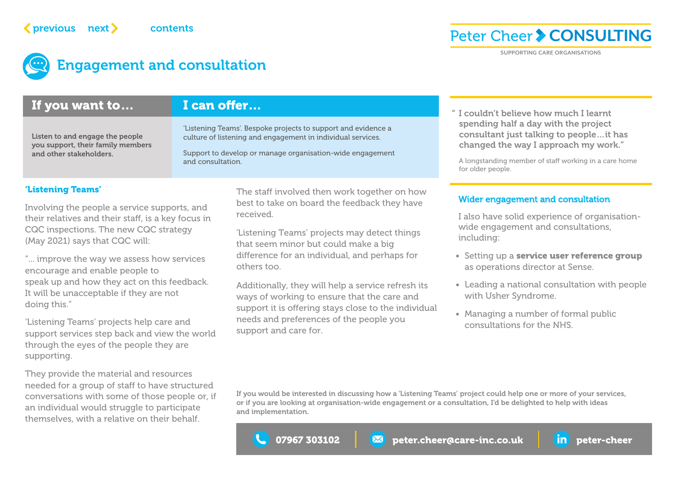## Engagement and consultation

### 'Listening Teams' Involving the people a service supports, and their relatives and their staff, is a key focus in CQC inspections. The new CQC strategy (May 2021) says that CQC will: The staff involved then work together on how best to take on board the feedback they have received. 'Listening Teams' projects may detect things that seem minor but could make a big • Setting up a [service user reference group](https://www.sense.org.uk/about/sense-user-reference-group/) " I couldn't believe how much I learnt spending half a day with the project consultant just talking to people…it has changed the way I approach my work." A longstanding member of staff working in a care home for older people. If you want to… I can offer... Listen to and engage the people you support, their family members and other stakeholders. 'Listening Teams'. Bespoke projects to support and evidence a culture of listening and engagement in individual services. Support to develop or manage organisation-wide engagement and consultation. Wider engagement and consultation I also have solid experience of organisationwide engagement and consultations, including: **Peter-Cheer Consultation**<br> **Peter-cheer Consultation**<br> **Peter-cheer Consultation**<br> **Person and Consultation**<br> **Fyou want to... I can offer...**<br> **Fyou want to...** I can offer the summary properties the properties are comp

"... improve the way we assess how services encourage and enable people to speak up and how they act on this feedback. It will be unacceptable if they are not doing this."

'Listening Teams' projects help care and support services step back and view the world through the eyes of the people they are supporting.

They provide the material and resources needed for a group of staff to have structured conversations with some of those people or, if an individual would struggle to participate themselves, with a relative on their behalf.

difference for an individual, and perhaps for others too.

Additionally, they will help a service refresh its ways of working to ensure that the care and support it is offering stays close to the individual needs and preferences of the people you support and care for.

### as operations director at Sense. • Leading a national consultation with people

with Usher Syndrome. • Managing a number of formal public consultations for the NHS.

If you would be interested in discussing how a 'Listening Teams' project could help one or more of your services, or if you are looking at organisation-wide engagement or a consultation, I'd be delighted to help with ideas and implementation.



**Peter Cheer > CONSULTING** 

**SUPPORTING CARE ORGANISATIONS**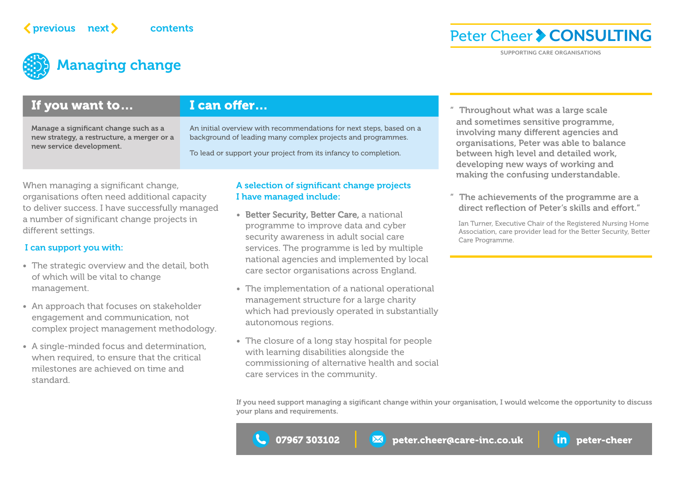# Managing change

### If you want to…

Manage a significant change such as a new strategy, a restructure, a merger or a new service development.

### I can offer…

An initial overview with recommendations for next steps, based on a background of leading many complex projects and programmes.

To lead or support your project from its infancy to completion.

When managing a significant change, organisations often need additional capacity to deliver success. I have successfully managed a number of significant change projects in different settings.

#### I can support you with:

- The strategic overview and the detail, both of which will be vital to change management.
- An approach that focuses on stakeholder engagement and communication, not complex project management methodology.
- A single-minded focus and determination, when required, to ensure that the critical milestones are achieved on time and standard.

### A selection of significant change projects I have managed include:

- [Better Security, Better Care,](https://www.digitalsocialcare.co.uk/data-security-protecting-my-information/better-security-better-care/) a national programme to improve data and cyber security awareness in adult social care services. The programme is led by multiple national agencies and implemented by local care sector organisations across England.
- The implementation of a national operational management structure for a large charity which had previously operated in substantially autonomous regions.
- The closure of a long stay hospital for people with learning disabilities alongside the commissioning of alternative health and social care services in the community.

" Throughout what was a large scale and sometimes sensitive programme, involving many different agencies and organisations, Peter was able to balance between high level and detailed work, developing new ways of working and making the confusing understandable. **Peter-Cheer**  $\triangleright$  **CONSULTIP**<br> **Examplement and Consumer and Consumer and Consumer and Consumer and Consumer and Consumer and Consumer and Consumer and Consumer and Consumer and Consumer and Consumer and Consumer and Con** 

**SUPPORTING CARE ORGANISATIONS**

**Peter Cheer > CONSULTING** 

The achievements of the programme are a direct reflection of Peter's skills and effort."

Ian Turner, Executive Chair of the Registered Nursing Home Association, care provider lead for the Better Security, Better Care Programme.

If you need support managing a sigificant change within your organisation, I would welcome the opportunity to discuss your plans and requirements.

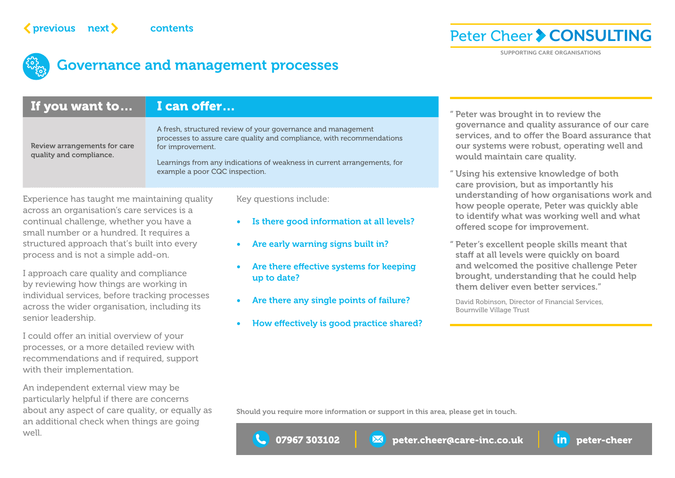### **Peter Cheer > CONSULTING**



### **Governance and management processes**

| $previous$ next $\blacktriangleright$                                                                                                                                                                                | contents                                                                                    | <b>Governance and management processes</b>                                                                                                                                                                                | Peter Cheer > CONSULTII<br><b>SUPPORTING CARE ORGANISATIONS</b>                                                                                                                                              |  |
|----------------------------------------------------------------------------------------------------------------------------------------------------------------------------------------------------------------------|---------------------------------------------------------------------------------------------|---------------------------------------------------------------------------------------------------------------------------------------------------------------------------------------------------------------------------|--------------------------------------------------------------------------------------------------------------------------------------------------------------------------------------------------------------|--|
| If you want to                                                                                                                                                                                                       | I can offer                                                                                 |                                                                                                                                                                                                                           | " Peter was brought in to review the<br>governance and quality assurance of our                                                                                                                              |  |
| Review arrangements for care<br>quality and compliance.                                                                                                                                                              | for improvement.<br>example a poor CQC inspection.                                          | A fresh, structured review of your governance and management<br>processes to assure care quality and compliance, with recommendations<br>Learnings from any indications of weakness in current arrangements, for          | services, and to offer the Board assurance<br>our systems were robust, operating well a<br>would maintain care quality.<br>" Using his extensive knowledge of both<br>care provision, but as importantly his |  |
| Experience has taught me maintaining quality<br>cross an organisation's care services is a<br>continual challenge, whether you have a<br>mall number or a hundred. It requires a                                     |                                                                                             | Key questions include:<br>Is there good information at all levels?                                                                                                                                                        | understanding of how organisations work<br>how people operate, Peter was quickly abl<br>to identify what was working well and wh<br>offered scope for improvement.                                           |  |
| tructured approach that's built into every<br>process and is not a simple add-on.<br>approach care quality and compliance<br>by reviewing how things are working in<br>ndividual services, before tracking processes | Are early warning signs built in?<br>Are there effective systems for keeping<br>up to date? | " Peter's excellent people skills meant that<br>staff at all levels were quickly on board<br>and welcomed the positive challenge Pete<br>brought, understanding that he could helt<br>them deliver even better services." |                                                                                                                                                                                                              |  |
| cross the wider organisation, including its<br>enior leadership.                                                                                                                                                     |                                                                                             | Are there any single points of failure?<br>How effectively is good practice shared?                                                                                                                                       | David Robinson, Director of Financial Services,<br><b>Bournville Village Trust</b>                                                                                                                           |  |
| could offer an initial overview of your<br>processes, or a more detailed review with<br>ecommendations and if required, support<br>vith their implementation.                                                        |                                                                                             |                                                                                                                                                                                                                           |                                                                                                                                                                                                              |  |
| An independent external view may be<br>articularly helpful if there are concerns<br>bout any aspect of care quality, or equally as<br>In additional check when things are going<br>vell.                             |                                                                                             | Should you require more information or support in this area, please get in touch.<br>07967 303102                                                                                                                         | peter.cheer@care-inc.co.uk<br>in peter-cheer                                                                                                                                                                 |  |

- Is there good information at all levels?
- Are early warning signs built in?
- Are there effective systems for keeping up to date?
- Are there any single points of failure?
- How effectively is good practice shared?

" Peter was brought in to review the governance and quality assurance of our care services, and to offer the Board assurance that our systems were robust, operating well and would maintain care quality.

- " Using his extensive knowledge of both care provision, but as importantly his understanding of how organisations work and how people operate, Peter was quickly able to identify what was working well and what offered scope for improvement.
- " Peter's excellent people skills meant that staff at all levels were quickly on board and welcomed the positive challenge Peter brought, understanding that he could help them deliver even better services."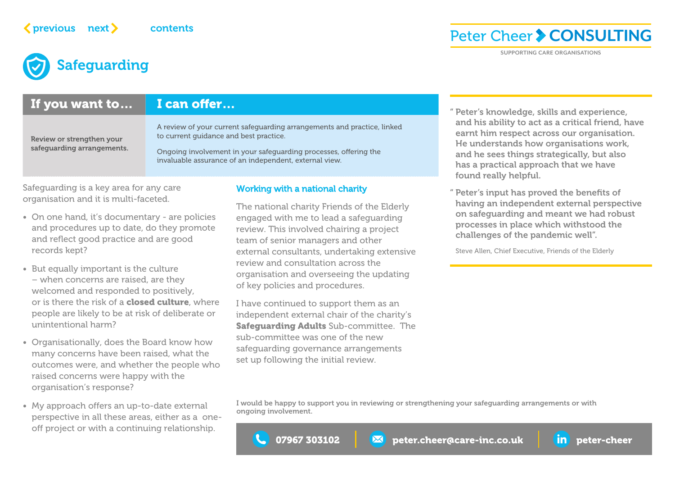### **Peter Cheer > CONSULTING**

**SUPPORTING CARE ORGANISATIONS**

## **Safeguarding**

### If you want to... I can offer...

Review or strengthen your safeguarding arrangements. A review of your current safeguarding arrangements and practice, linked to current guidance and best practice.

Ongoing involvement in your safeguarding processes, offering the invaluable assurance of an independent, external view.

Safeguarding is a key area for any care organisation and it is multi-faceted.

- On one hand, it's documentary are policies and procedures up to date, do they promote and reflect good practice and are good records kept?
- But equally important is the culture – when concerns are raised, are they welcomed and responded to positively, or is there the risk of a **[closed culture](https://www.cqc.org.uk/guidance-providers/all-services/how-cqc-identifies-responds-closed-cultures)**, where people are likely to be at risk of deliberate or unintentional harm?
- Organisationally, does the Board know how many concerns have been raised, what the outcomes were, and whether the people who raised concerns were happy with the organisation's response?
- My approach offers an up-to-date external perspective in all these areas, either as a oneoff project or with a continuing relationship.

#### Working with a national charity

The national charity Friends of the Elderly engaged with me to lead a safeguarding review. This involved chairing a project team of senior managers and other external consultants, undertaking extensive review and consultation across the organisation and overseeing the updating of key policies and procedures. **Peter-Cheer Constant and Constant and Constant and Constant and Constant and Constant and Constant and Constant and Constant and Constant and Constant and Constant and Constant and Constant and Constant and Constant and** 

I have continued to support them as an independent external chair of the charity's **[Safeguarding Adults](https://www.fote.org.uk/news/2018/07/26/safeguarding-takes-priority/) Sub-committee. The** sub-committee was one of the new safeguarding governance arrangements set up following the initial review.

" Peter's knowledge, skills and experience, and his ability to act as a critical friend, have earnt him respect across our organisation. He understands how organisations work, and he sees things strategically, but also has a practical approach that we have found really helpful.

" Peter's input has proved the benefits of having an independent external perspective on safeguarding and meant we had robust processes in place which withstood the challenges of the pandemic well".

Steve Allen, Chief Executive, Friends of the Elderly

I would be happy to support you in reviewing or strengthening your safeguarding arrangements or with ongoing involvement.